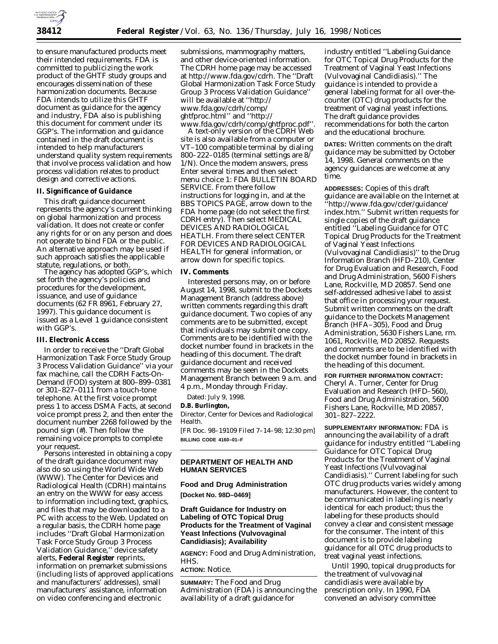

to ensure manufactured products meet their intended requirements. FDA is committed to publicizing the work product of the GHTF study groups and encourages dissemination of these harmonization documents. Because FDA intends to utilize this GHTF document as guidance for the agency and industry, FDA also is publishing this document for comment under its GGP's. The information and guidance contained in the draft document is intended to help manufacturers understand quality system requirements that involve process validation and how process validation relates to product design and corrective actions.

#### **II. Significance of Guidance**

This draft guidance document represents the agency's current thinking on global harmonization and process validation. It does not create or confer any rights for or on any person and does not operate to bind FDA or the public. An alternative approach may be used if such approach satisfies the applicable statute, regulations, or both. The agency has adopted GGP's, which

set forth the agency's policies and procedures for the development, issuance, and use of guidance documents (62 FR 8961, February 27, 1997). This guidance document is issued as a Level 1 guidance consistent with GGP's.

#### **III. Electronic Access**

In order to receive the ''Draft Global Harmonization Task Force Study Group 3 Process Validation Guidance'' via your fax machine, call the CDRH Facts-On-Demand (FOD) system at 800–899–0381 or 301–827–0111 from a touch-tone telephone. At the first voice prompt press 1 to access DSMA Facts, at second voice prompt press 2, and then enter the document number 2268 followed by the pound sign (#). Then follow the remaining voice prompts to complete

Persons interested in obtaining a copy of the draft guidance document may also do so using the World Wide Web (WWW). The Center for Devices and Radiological Health (CDRH) maintains an entry on the WWW for easy access to information including text, graphics, and files that may be downloaded to a PC with access to the Web. Updated on a regular basis, the CDRH home page includes ''Draft Global Harmonization Task Force Study Group 3 Process Validation Guidance,'' device safety alerts, **Federal Register** reprints, information on premarket submissions (including lists of approved applications and manufacturers' addresses), small manufacturers' assistance, information on video conferencing and electronic

submissions, mammography matters, and other device-oriented information. The CDRH home page may be accessed at http://www.fda.gov/cdrh. The ''Draft Global Harmonization Task Force Study Group 3 Process Validation Guidance'' will be available at ''http:// www.fda.gov/cdrh/comp/ ghtfproc.html'' and ''http://

www.fda.gov/cdrh/comp/ghtfproc.pdf''. A text-only version of the CDRH Web site is also available from a computer or VT–100 compatible terminal by dialing 800–222–0185 (terminal settings are 8/ 1/N). Once the modem answers, press Enter several times and then select menu choice 1: FDA BULLETIN BOARD SERVICE. From there follow instructions for logging in, and at the BBS TOPICS PAGE, arrow down to the FDA home page (do not select the first CDRH entry). Then select MEDICAL DEVICES AND RADIOLOGICAL HEATLH. From there select CENTER FOR DEVICES AND RADIOLOGICAL HEALTH for general information, or arrow down for specific topics.

#### **IV. Comments**

Interested persons may, on or before August 14, 1998, submit to the Dockets Management Branch (address above) written comments regarding this draft guidance document. Two copies of any comments are to be submitted, except that individuals may submit one copy. Comments are to be identified with the docket number found in brackets in the heading of this document. The draft guidance document and received comments may be seen in the Dockets Management Branch between 9 a.m. and 4 p.m., Monday through Friday.

Dated: July 9, 1998.

#### **D.B. Burlington,**

*Director, Center for Devices and Radiological Health.*

[FR Doc. 98–19109 Filed 7–14–98; 12:30 pm] **BILLING CODE 4160–01–F**

### **DEPARTMENT OF HEALTH AND HUMAN SERVICES**

#### **Food and Drug Administration**

**[Docket No. 98D–0469]**

## **Draft Guidance for Industry on Labeling of OTC Topical Drug Products for the Treatment of Vaginal Yeast Infections (Vulvovaginal Candidiasis); Availability**

**AGENCY:** Food and Drug Administration, HHS.

**ACTION:** Notice.

**SUMMARY:** The Food and Drug Administration (FDA) is announcing the availability of a draft guidance for

industry entitled ''Labeling Guidance for OTC Topical Drug Products for the Treatment of Vaginal Yeast Infections (Vulvovaginal Candidiasis).'' The guidance is intended to provide a general labeling format for all over-thecounter (OTC) drug products for the treatment of vaginal yeast infections. The draft guidance provides recommendations for both the carton and the educational brochure.

**DATES:** Written comments on the draft guidance may be submitted by October 14, 1998. General comments on the agency guidances are welcome at any time.

**ADDRESSES:** Copies of this draft guidance are available on the Internet at ''http://www.fda.gov/cder/guidance/ index.htm.'' Submit written requests for single copies of the draft guidance entitled ''Labeling Guidance for OTC Topical Drug Products for the Treatment of Vaginal Yeast Infections (Vulvovaginal Candidiasis)'' to the Drug Information Branch (HFD–210), Center for Drug Evaluation and Research, Food and Drug Administration, 5600 Fishers Lane, Rockville, MD 20857. Send one self-addressed adhesive label to assist that office in processing your request. Submit written comments on the draft guidance to the Dockets Management Branch (HFA–305), Food and Drug Administration, 5630 Fishers Lane, rm. 1061, Rockville, MD 20852. Requests and comments are to be identified with the docket number found in brackets in the heading of this document.

**FOR FURTHER INFORMATION CONTACT:** Cheryl A. Turner, Center for Drug Evaluation and Research (HFD–560), Food and Drug Administration, 5600 Fishers Lane, Rockville, MD 20857, 301–827–2222.

**SUPPLEMENTARY INFORMATION:** FDA is announcing the availability of a draft guidance for industry entitled ''Labeling Guidance for OTC Topical Drug Products for the Treatment of Vaginal Yeast Infections (Vulvovaginal Candidiasis).'' Current labeling for such OTC drug products varies widely among manufacturers. However, the content to be communicated in labeling is nearly identical for each product; thus the labeling for these products should convey a clear and consistent message for the consumer. The intent of this document is to provide labeling guidance for all OTC drug products to treat vaginal yeast infections.

Until 1990, topical drug products for the treatment of vulvovaginal candidiasis were available by prescription only. In 1990, FDA convened an advisory committee